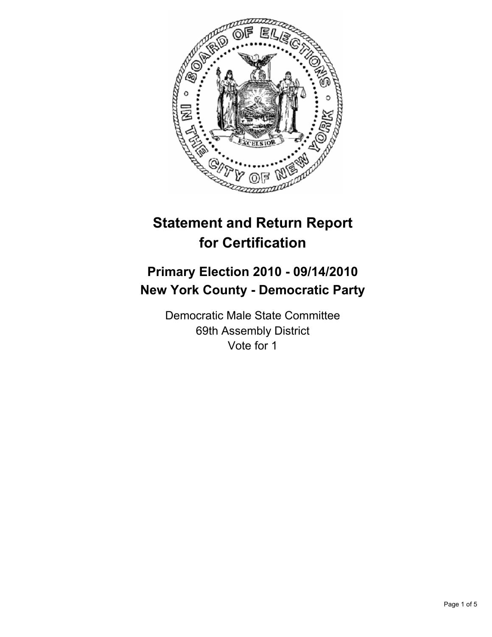

# **Statement and Return Report for Certification**

# **Primary Election 2010 - 09/14/2010 New York County - Democratic Party**

Democratic Male State Committee 69th Assembly District Vote for 1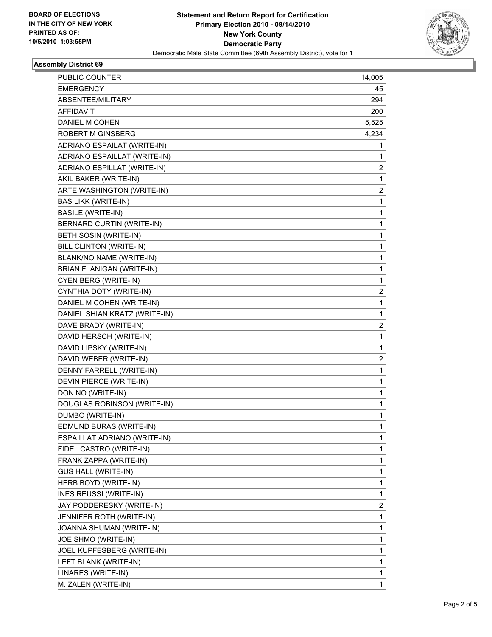

## **Assembly District 69**

| PUBLIC COUNTER                   | 14,005                  |
|----------------------------------|-------------------------|
| <b>EMERGENCY</b>                 | 45                      |
| ABSENTEE/MILITARY                | 294                     |
| AFFIDAVIT                        | 200                     |
| DANIEL M COHEN                   | 5,525                   |
| <b>ROBERT M GINSBERG</b>         | 4,234                   |
| ADRIANO ESPAILAT (WRITE-IN)      | 1                       |
| ADRIANO ESPAILLAT (WRITE-IN)     | 1                       |
| ADRIANO ESPILLAT (WRITE-IN)      | $\overline{\mathbf{c}}$ |
| AKIL BAKER (WRITE-IN)            | 1                       |
| ARTE WASHINGTON (WRITE-IN)       | 2                       |
| <b>BAS LIKK (WRITE-IN)</b>       | 1                       |
| <b>BASILE (WRITE-IN)</b>         | 1                       |
| BERNARD CURTIN (WRITE-IN)        | 1                       |
| BETH SOSIN (WRITE-IN)            | $\mathbf 1$             |
| BILL CLINTON (WRITE-IN)          | 1                       |
| BLANK/NO NAME (WRITE-IN)         | 1                       |
| <b>BRIAN FLANIGAN (WRITE-IN)</b> | 1                       |
| CYEN BERG (WRITE-IN)             | 1                       |
| CYNTHIA DOTY (WRITE-IN)          | 2                       |
| DANIEL M COHEN (WRITE-IN)        | $\mathbf 1$             |
| DANIEL SHIAN KRATZ (WRITE-IN)    | 1                       |
| DAVE BRADY (WRITE-IN)            | 2                       |
| DAVID HERSCH (WRITE-IN)          | 1                       |
| DAVID LIPSKY (WRITE-IN)          | 1                       |
| DAVID WEBER (WRITE-IN)           | 2                       |
| DENNY FARRELL (WRITE-IN)         | $\mathbf 1$             |
| DEVIN PIERCE (WRITE-IN)          | 1                       |
| DON NO (WRITE-IN)                | 1                       |
| DOUGLAS ROBINSON (WRITE-IN)      | $\mathbf 1$             |
| DUMBO (WRITE-IN)                 | 1                       |
| EDMUND BURAS (WRITE-IN)          | 1                       |
| ESPAILLAT ADRIANO (WRITE-IN)     | 1                       |
| FIDEL CASTRO (WRITE-IN)          | 1                       |
| FRANK ZAPPA (WRITE-IN)           | 1                       |
| GUS HALL (WRITE-IN)              | 1                       |
| HERB BOYD (WRITE-IN)             | 1                       |
| <b>INES REUSSI (WRITE-IN)</b>    | 1                       |
| JAY PODDERESKY (WRITE-IN)        | 2                       |
| JENNIFER ROTH (WRITE-IN)         | 1                       |
| JOANNA SHUMAN (WRITE-IN)         | 1                       |
| JOE SHMO (WRITE-IN)              | 1                       |
| JOEL KUPFESBERG (WRITE-IN)       | 1                       |
| LEFT BLANK (WRITE-IN)            | 1                       |
| LINARES (WRITE-IN)               | 1                       |
| M. ZALEN (WRITE-IN)              | 1                       |
|                                  |                         |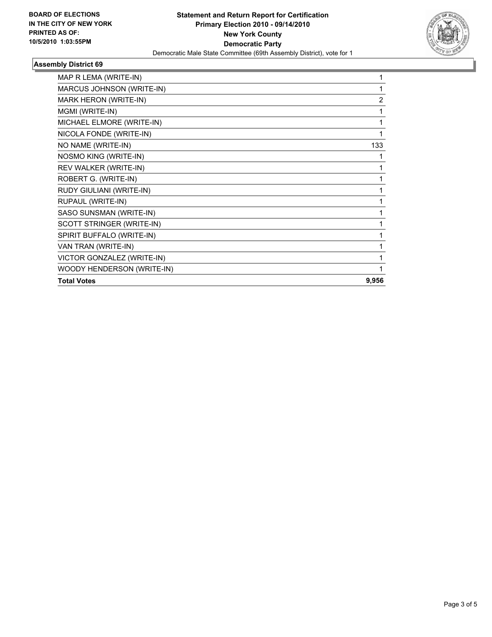

## **Assembly District 69**

| MAP R LEMA (WRITE-IN)      | 1              |
|----------------------------|----------------|
| MARCUS JOHNSON (WRITE-IN)  | 1              |
| MARK HERON (WRITE-IN)      | $\overline{2}$ |
| MGMI (WRITE-IN)            | 1              |
| MICHAEL ELMORE (WRITE-IN)  | 1              |
| NICOLA FONDE (WRITE-IN)    | 1              |
| NO NAME (WRITE-IN)         | 133            |
| NOSMO KING (WRITE-IN)      | 1              |
| REV WALKER (WRITE-IN)      | 1              |
| ROBERT G. (WRITE-IN)       | 1              |
| RUDY GIULIANI (WRITE-IN)   | 1              |
| RUPAUL (WRITE-IN)          | 1              |
| SASO SUNSMAN (WRITE-IN)    | 1              |
| SCOTT STRINGER (WRITE-IN)  | 1              |
| SPIRIT BUFFALO (WRITE-IN)  | 1              |
| VAN TRAN (WRITE-IN)        | 1              |
| VICTOR GONZALEZ (WRITE-IN) | 1              |
| WOODY HENDERSON (WRITE-IN) | 1              |
| <b>Total Votes</b>         | 9,956          |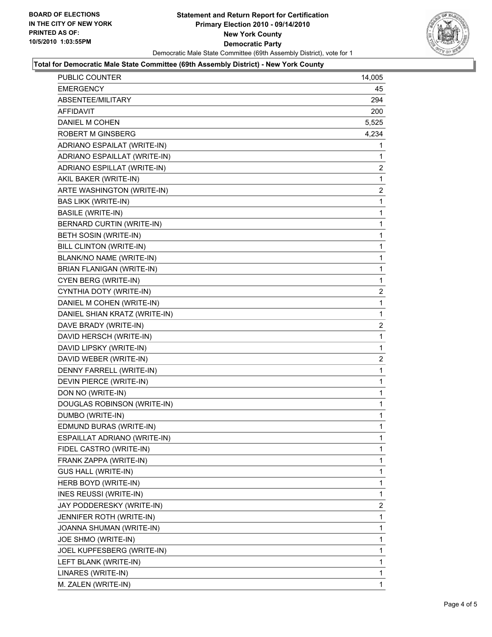

#### **Total for Democratic Male State Committee (69th Assembly District) - New York County**

| PUBLIC COUNTER                | 14,005         |
|-------------------------------|----------------|
| EMERGENCY                     | 45             |
| ABSENTEE/MILITARY             | 294            |
| AFFIDAVIT                     | 200            |
| DANIEL M COHEN                | 5,525          |
| <b>ROBERT M GINSBERG</b>      | 4,234          |
| ADRIANO ESPAILAT (WRITE-IN)   | 1              |
| ADRIANO ESPAILLAT (WRITE-IN)  | 1              |
| ADRIANO ESPILLAT (WRITE-IN)   | $\mathbf{2}$   |
| AKIL BAKER (WRITE-IN)         | 1              |
| ARTE WASHINGTON (WRITE-IN)    | $\overline{2}$ |
| <b>BAS LIKK (WRITE-IN)</b>    | 1              |
| <b>BASILE (WRITE-IN)</b>      | 1              |
| BERNARD CURTIN (WRITE-IN)     | 1              |
| BETH SOSIN (WRITE-IN)         | 1              |
| BILL CLINTON (WRITE-IN)       | 1              |
| BLANK/NO NAME (WRITE-IN)      | 1              |
| BRIAN FLANIGAN (WRITE-IN)     | 1              |
| CYEN BERG (WRITE-IN)          | 1              |
| CYNTHIA DOTY (WRITE-IN)       | $\overline{2}$ |
| DANIEL M COHEN (WRITE-IN)     | 1              |
| DANIEL SHIAN KRATZ (WRITE-IN) | 1              |
| DAVE BRADY (WRITE-IN)         | $\overline{2}$ |
| DAVID HERSCH (WRITE-IN)       | 1              |
| DAVID LIPSKY (WRITE-IN)       | 1              |
| DAVID WEBER (WRITE-IN)        | 2              |
| DENNY FARRELL (WRITE-IN)      | 1              |
| DEVIN PIERCE (WRITE-IN)       | 1              |
| DON NO (WRITE-IN)             | 1              |
| DOUGLAS ROBINSON (WRITE-IN)   | 1              |
| DUMBO (WRITE-IN)              | 1              |
| EDMUND BURAS (WRITE-IN)       | 1              |
| ESPAILLAT ADRIANO (WRITE-IN)  | 1              |
| FIDEL CASTRO (WRITE-IN)       | 1              |
| FRANK ZAPPA (WRITE-IN)        | 1              |
| <b>GUS HALL (WRITE-IN)</b>    | 1              |
| HERB BOYD (WRITE-IN)          | 1              |
| INES REUSSI (WRITE-IN)        | 1              |
| JAY PODDERESKY (WRITE-IN)     | 2              |
| JENNIFER ROTH (WRITE-IN)      | 1              |
| JOANNA SHUMAN (WRITE-IN)      | 1              |
| JOE SHMO (WRITE-IN)           | 1              |
| JOEL KUPFESBERG (WRITE-IN)    | 1              |
| LEFT BLANK (WRITE-IN)         | 1              |
| LINARES (WRITE-IN)            | 1              |
| M. ZALEN (WRITE-IN)           | 1.             |